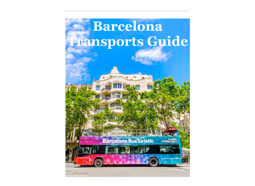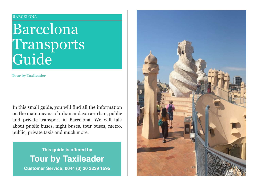#### BARCELONA

# Barcelona Transports Guide

**Tour by Taxileader**

In this small guide, you will find all the information on the main means of urban and extra-urban, public and private transport in Barcelona. We will talk about public buses, night buses, tour buses, metro, public, private taxis and much more.

> **This guide is offered by Tour by Taxileader Customer Service: 0044 (0) 20 3239 1595**

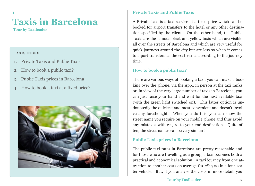### **Taxis in Barcelona**

**Tour by Taxileader**

#### TAXIS INDEX

- 1. Private Taxis and Public Taxis
- 2. How to book a public taxi?
- 3. Public Taxis prices in Barcelona
- 4. How to book a taxi at a fixed price?



### **Private Taxis and Public Taxis**

A Private Taxi is a taxi service at a fixed price which can be booked for airport transfers to the hotel or any other destination specified by the client. On the other hand, the Public Taxis are the famous black and yellow taxis which are visible all over the streets of Barcelona and which are very useful for quick journeys around the city but are less so when it comes to aiport transfers as the cost varies according to the journey time.

### **How to book a public taxi?**

There are various ways of booking a taxi: you can make a booking over the 'phone, via the App., in person at the taxi ranks or, in view of the very large number of taxis in Barcelona, you can just raise your hand and wait for the next available taxi (with the green light switched on). This latter option is undoubtedly the quickest and most convenient and doesn't involve any forethought. When you do this, you can show the street name you require on your mobile 'phone and thus avoid any mistakes with regard to your end destination. Quite often, the street names can be very similar!

### **Public Taxis prices in Barcelona**

The public taxi rates in Barcelona are pretty reasonable and for those who are travelling as a group, a taxi becomes both a practical and economical solution. A taxi journey from one attraction to another costs on average  $\epsilon$ 10/ $\epsilon$ 15.00 in a four-seater vehicle. But, if you analyse the costs in more detail, you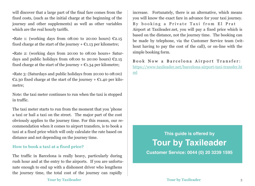will discover that a large part of the final fare comes from the fixed costs, (such as the initial charge at the beginning of the journey and other supplements) as well as other variables which are the real hourly tariffs.

•Rate 1: (working days from 08:00 to 20:00 hours)  $\epsilon$ 2.15 fixed charge at the start of the journey  $+ \epsilon$ 1.13 per kilometre;

•Rate 2: (working days from 20:00 to 08:00 hours+ Saturdays and public holidays from 08:00 to 20:00 hours)  $\mathcal{L}2.15$ fixed charge at the start of the journey  $+ \epsilon$ 1.34 per kilometre;

•Rate 3: (Saturdays and public holidays from 20:00 to 08:00) €2.30 fixed charge at the start of the journey + €1.40 per kilometre;

Note: the taxi meter continues to run when the taxi is stopped in traffic.

The taxi meter starts to run from the moment that you 'phone a taxi or hail a taxi on the street. The major part of the cost obviously applies to the journey time. For this reason, our recommendation when it comes to airport transfers, is to book a taxi at a fixed price which will only calculate the rate based on distance and not depending on the journey time.

### **How to book a taxi at a fixed price?**

The traffic in Barcelona is really heavy, particularly during rush hour and at the entry to the airports. If you are unfortunate enough to end up with a dishonest driver who lengthens the journey time, the total cost of the journey can rapidly

increase. Fortunately, there is an alternative, which means you will know the exact fare in advance for your taxi journey. By booking a Private Taxi from El Prat Airport at Taxileader.net, you will pay a fixed price which is based on the distance, not the journey time. The booking can be made by telephone, via the Customer Service team (without having to pay the cost of the call), or on-line with the simple booking form.

Book Now a Barcelona Airport Transfer: [https://www.taxileader.net/barcelona-airport-taxi-transfer.ht](https://www.taxileader.net/barcelona-airport-taxi-transfer.html) [ml](https://www.taxileader.net/barcelona-airport-taxi-transfer.html)

### **This guide is offered by Tour by Taxileader Customer Service: 0044 (0) 20 3239 1595**

**Tour by Taxileader** 3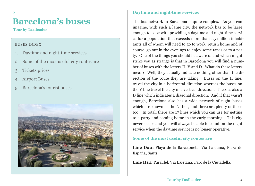### **Barcelona's buses**

**Tour by Taxileader**

2

#### BUSES INDEX

- 1. Daytime and night-time services
- 2. Some of the most useful city routes are
- 3. Tickets prices
- 4. Airport Buses
- 5. Barcelona's tourist buses



### **Daytime and night-time services**

The bus network in Barcelona is quite complex. As you can imagine, with such a large city, the network has to be large enough to cope with providing a daytime and night-time service for a population that exceeds more than 1.5 million inhabitants all of whom will need to go to work, return home and of course, go out in the evenings to enjoy some tapas or to a party. One of the things you should be aware of and which might strike you as strange is that in Barcelona you will find a number of buses with the letters H, V and D. What do these letters mean? Well, they actually indicate nothing other than the direction of the route they are taking. Buses on the H line, travel the city in a horizontal direction whereas the buses on the V line travel the city in a vertical direction. There is also a D line which indicates a diagonal direction. And if that wasn't enough, Barcelona also has a wide network of night buses which are known as the Nitbus, and there are plenty of those too! In total, there are 17 lines which you can use for getting to a party and coming home in the early morning! This city never sleeps and you will always be able to count on the night service when the daytime service is no longer operative.

### **Some of the most useful city routes are**

**Line D20:** Playa de la Barceloneta, Via Laietana, Plaza de España, Sants.

**Line H14:** Paral.lel, Via Laietana, Parc de la Ciutadella.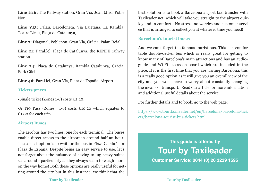**Line H16:** The Railway station, Gran Vía, Joan Miró, Poble Nou.

**Line V13:** Palau, Barceloneta, Via Laietana, La Rambla, Teatre Liceu, Plaça de Catalunya,

**Line 7:** Diagonal, Poblenou, Gran Vía, Gràcia, Palau Reial.

**Line 21:** Paral.lel, Plaça de Catalunya, the RENFE railway station.

**Line 24:** Plaça de Catalunya, Rambla Catalunya, Gràcia, Park Güell.

**Line 46:** Paral.lel, Gran Vía, Plaza de España, Airport.

### **Tickets prices**

•Single ticket (Zones 1-6) costs €2.20;

•A T10 Pass (Zones 1-6) costs  $\epsilon$ 10.20 which equates to €1.00 for each trip.

### **Airport Buses**

The aerobús has two lines, one for each terminal. The buses enable direct access to the airport in around half an hour. The easiest option is to wait for the bus in Plaza Cataluña or Plaza de España. Despite being an easy service to use, let's not forget about the nuisance of having to lug heavy suitcases around - particularly as they always seem to weigh more on the way home! Both these options are really useful for getting around the city but in this instance, we think that the

best solution is to book a Barcelona airport taxi transfer with Taxileader.net, which will take you straight to the airport quickly and in comfort. No stress, no worries and customer service that is arranged to collect you at whatever time you need!

### **Barcelona's tourist buses**

And we can't forget the famous touríst bus. This is a comfortable double-decker bus which is really great for getting to know many of Barcelona's main attractions and has an audioguide and Wi-Fi access on board which are included in the price. If it is the first time that you are visiting Barcelona, this is a really good option as it will give you an overall view of the city and you won't have to worry about constantly changing the means of transport. Read our article for more information and additional useful details about the service.

For further details and to book, go to the web page:

[https://www.tour.taxileader.net/en/barcelona/barcelona-tick](https://www.tour.taxileader.net/en/barcelona/barcelona-tickets/barcelona-tourist-bus-tickets.html) [ets/barcelona-tourist-bus-tickets.html](https://www.tour.taxileader.net/en/barcelona/barcelona-tickets/barcelona-tourist-bus-tickets.html)

### **This guide is offered by Tour by Taxileader**

**Customer Service: 0044 (0) 20 3239 1595**

**Tour by Taxileader** 5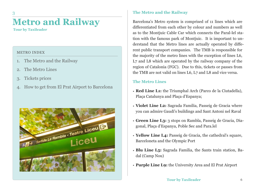## **Metro and Railway**

**Tour by Taxileader**

3

### METRO INDEX

- 1. The Metro and the Railway
- 2. The Metro Lines
- 3. Tickets prices
- 4. How to get from El Prat Airport to Barcelona



### **The Metro and the Railway**

Barcelona's Metro system is comprised of 11 lines which are differentiated from each other by colour and numbers as well as to the Montjuic Cable Car which connects the Paral-lel station with the famous park of Montjuic. It is important to understand that the Metro lines are actually operated by different public transport companies. The TMB is responsible for the majority of the metro lines with the exception of lines L6, L7 and L8 which are operated by the railway company of the region of Catalonia (FGC). Due to this, tickets or passes from the TMB are not valid on lines L6, L7 and L8 and vice versa.

### **The Metro Lines**

- **Red Line L1:** the Triumphal Arch (Parco de la Ciutadella), Plaça Catalunya and Plaça d'Espanya;
- **Violet Line L2:** Sagrada Familia, Passeig de Gracia where you can admire Gaudí's buildings and Sant Antoni nel Raval
- **Green Line L3:** 3 stops on Rambla, Passeig de Gracia, Diagonal, Plaça d'Espanya, Poble Sec and Para.lel
- **Yellow Line L4:** Passeig de Gracia, the cathedral's square, Barceloneta and the Olympic Port
- **Blu Line L5:** Sagrada Familia, the Sants train station, Badal (Camp Nou)
- **Purple Line L9:** the University Area and El Prat Airport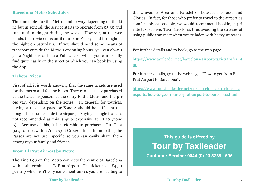### **Barcelona Metro Schedules**

The timetables for the Metro tend to vary depending on the Line but in general, the service starts to operate from 05:30 and runs until midnight during the week. However, at the weekends, the service runs until 02:00 on Fridays and throughout the night on Saturdays. If you should need some means of transport outside the Metro's operating hours, you can always get a Night Bus or take a Public Taxi, which you can usually find quite easily on the street or which you can book by using the App.

#### **Tickets Prices**

First of all, it is worth knowing that the same tickets are used for the metro and for the buses. They can be easily purchased at the ticket dispensers at the entry to the Metro and the prices vary depending on the zones. In general, for tourists, buying a ticket or pass for Zone A should be sufficient (although this does exclude the airport). Buying a single ticket is not recommended as this is quite expensive at  $E$ 2.20 (Zone A). Because of this, it is preferable to purchase a T10 Pass (i.e., 10 trips within Zone A) at  $\mathfrak C$ 10.20. In addition to this, the Passes are not user specific so you can easily share them amongst your family and friends.

### **From El Prat Airport by Metro**

The Line L9S on the Metro connects the centre of Barcelona with both terminals at El Prat Airport. The ticket costs  $C$ 4.50 per trip which isn't very convenient unless you are heading to the University Area and Para.lel or betweeen Torassa and Glories. In fact, for those who prefer to travel to the airport as comfortably as possible, we would recommend booking a private taxi service: Taxi Barcelona, thus avoiding the stresses of using public transport when you're laden with heavy suitcases.

For further details and to book, go to the web page:

[https://www.taxileader.net/barcelona-airport-taxi-transfer.ht](https://www.taxileader.net/barcelona-airport-taxi-transfer.html) [ml](https://www.taxileader.net/barcelona-airport-taxi-transfer.html)

For further details, go to the web page: "How to get from El Prat Airport to Barcelona":

[https://www.tour.taxileader.net/en/barcelona/barcelona-tra](https://www.tour.taxileader.net/en/barcelona/barcelona-transports/how-to-get-from-el-prat-airport-to-barcelona.html) [nsports/how-to-get-from-el-prat-airport-to-barcelona.html](https://www.tour.taxileader.net/en/barcelona/barcelona-transports/how-to-get-from-el-prat-airport-to-barcelona.html)

### **This guide is offered by Tour by Taxileader Customer Service: 0044 (0) 20 3239 1595**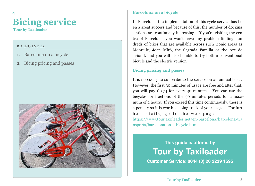### **Bicing service Tour by Taxileader**

BICING INDEX

4

- 1. Barcelona on a bicycle
- 2. Bicing pricing and passes



### **Barcelona on a bicycle**

In Barcelona, the implementation of this cycle service has been a great success and because of this, the number of docking stations are continually increasing. If you're visiting the centre of Barcelona, you won't have any problem finding hundreds of bikes that are available across such iconic areas as Montjuic, Joan Miró, the Sagrada Familia or the Arc de Triomf, and you will also be able to try both a conventional bicycle and the electric version.

### **Bicing pricing and passes**

It is necessary to subscribe to the service on an annual basis. However, the first 30 minutes of usage are free and after that, you will pay  $\mathcal{E}$ 0.74 for every 30 minutes. You can use the bicycles for fractions of the 30 minutes periods for a maximum of 2 hours. If you exceed this time continuously, there is a penalty so it is worth keeping track of your usage. For further details, go to the web page: [https://www.tour.taxileader.net/en/barcelona/barcelona-tra](https://www.tour.taxileader.net/en/barcelona/barcelona-transports/barcelona-on-a-bicycle.html) [nsports/barcelona-on-a-bicycle.html](https://www.tour.taxileader.net/en/barcelona/barcelona-transports/barcelona-on-a-bicycle.html)

### **This guide is offered by Tour by Taxileader**

**Customer Service: 0044 (0) 20 3239 1595**

**Tour by Taxileader**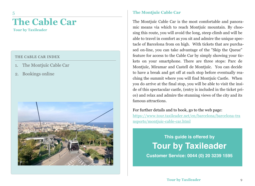## **The Cable Car**

**Tour by Taxileader**

5

### THE CABLE CAR INDEX

- 1. The Montjuïc Cable Car
- 2. Bookings online



### **The Montjuïc Cable Car**

The Montjuïc Cable Car is the most comfortable and panoramic means via which to reach Montjuïc mountain. By choosing this route, you will avoid the long, steep climb and will be able to travel in comfort as you sit and admire the unique spectacle of Barcelona from on high. With tickets that are purchased on-line, you can take advantage of the "Skip the Queue" feature for access to the Cable Car by simply showing your tickets on your smartphone. There are three stops: Parc de Montjuïc, Miramar and Castell de Montjuïc. You can decide to have a break and get off at each stop before eventually reaching the summit where you will find Montjuïc Castle. When you do arrive at the final stop, you will be able to visit the inside of this spectacular castle, (entry is included in the ticket price) and relax and admire the stunning views of the city and its famous attractions.

For further details and to book, go to the web page:

[https://www.tour.taxileader.net/en/barcelona/barcelona-tra](https://www.tour.taxileader.net/en/barcelona/barcelona-transports/montjuic-cable-car.html) [nsports/montjuic-cable-car.html](https://www.tour.taxileader.net/en/barcelona/barcelona-transports/montjuic-cable-car.html)

> **This guide is offered by Tour by Taxileader**

**Customer Service: 0044 (0) 20 3239 1595**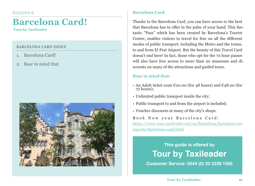## **Barcelona Card!**

**Tour by Taxileader**

### BARCELONA CARD INDEX

- 1. Barcelona Card!
- 2. Bear in mind that



### **Barcelona Card**

Thanks to the Barcelona Card, you can have access to the best that Barcelona has to offer in the palm of your hand. This fantastic "Pass" which has been created by Barcelona's Tourist Centre, enables visitors to travel for free on all the different modes of public transport, including the Metro and the trains, to and from El Prat Airport. But the beauty of this Travel Card doesn't end here! In fact, those who opt for the 72 hour passes will also have free access to more than 20 museums and discounts on many of the attractions and guided tours.

### **Bear in mind that:**

- An Adult ticket costs  $\epsilon$ 20.00 (for 48 hours) and  $\epsilon$ 48.00 (for 72 hours);
- Unlimited public transport inside the city;
- Public transport to and from the airport is included;
- Voucher discounts at many of the city's shops.

Book Now your Barcelona Card: [https://www.tour.taxileader.net/en/barcelona/barcelona-tra](https://www.tour.taxileader.net/en/barcelona/barcelona-transports/barcelona-card.html) [nsports/barcelona-card.html](https://www.tour.taxileader.net/en/barcelona/barcelona-transports/barcelona-card.html)

### **This guide is offered by Tour by Taxileader**

**Customer Service: 0044 (0) 20 3239 1595**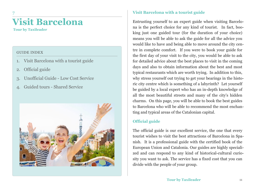## **Visit Barcelona**

**Tour by Taxileader**

7

### GUIDE INDEX

- 1. Visit Barcelona with a tourist guide
- 2. Official guide
- 3. Unofficial Guide Low Cost Service
- 4. Guided tours Shared Service



### **Visit Barcelona with a tourist guide**

Entrusting yourself to an expert guide when visiting Barcelona is the perfect choice for any kind of tourist. In fact, booking just one guided tour (for the duration of your choice) means you will be able to ask the guide for all the advice you would like to have and being able to move around the city centre in complete comfort. If you were to book your guide for the first day of your visit to the city, you would be able to ask for detailed advice about the best places to visit in the coming days and also to obtain information about the best and most typical restaurants which are worth trying. In addition to this, why stress yourself out trying to get your bearings in the historic city centre which is something of a labyrinth? Let yourself be guided by a local expert who has an in-depth knowledge of all the most beautiful streets and many of the city's hidden charms. On this page, you will be able to book the best guides to Barcelona who will be able to recommend the most enchanting and typical areas of the Catalonian capital.

### **Official guide**

The official guide is our excellent service, the one that every tourist wishes to visit the best attractions of Barcelona in Spanish. It is a professional guide with the certified book of the European Union and Catalonia. Our guides are highly specialized and can respond to any kind of historical-cultural curiosity you want to ask. The service has a fixed cost that you can divide with the people of your group.